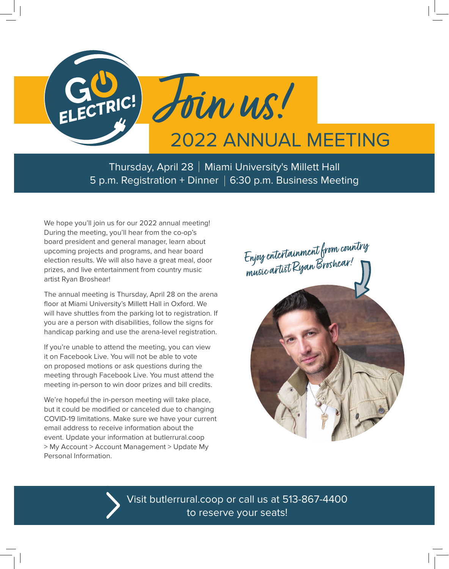

Thursday, April 28 | Miami University's Millett Hall 5 p.m. Registration + Dinner  $\vert$  6:30 p.m. Business Meeting

We hope you'll join us for our 2022 annual meeting! During the meeting, you'll hear from the co-op's board president and general manager, learn about upcoming projects and programs, and hear board election results. We will also have a great meal, door prizes, and live entertainment from country music artist Ryan Broshear!

The annual meeting is Thursday, April 28 on the arena floor at Miami University's Millett Hall in Oxford. We will have shuttles from the parking lot to registration. If you are a person with disabilities, follow the signs for handicap parking and use the arena-level registration.

If you're unable to attend the meeting, you can view it on Facebook Live. You will not be able to vote on proposed motions or ask questions during the meeting through Facebook Live. You must attend the meeting in-person to win door prizes and bill credits.

We're hopeful the in-person meeting will take place, but it could be modified or canceled due to changing COVID-19 limitations. Make sure we have your current email address to receive information about the event. Update your information at butlerrural.coop > My Account > Account Management > Update My Personal Information.



Visit butlerrural.coop or call us at 513-867-4400 to reserve your seats!